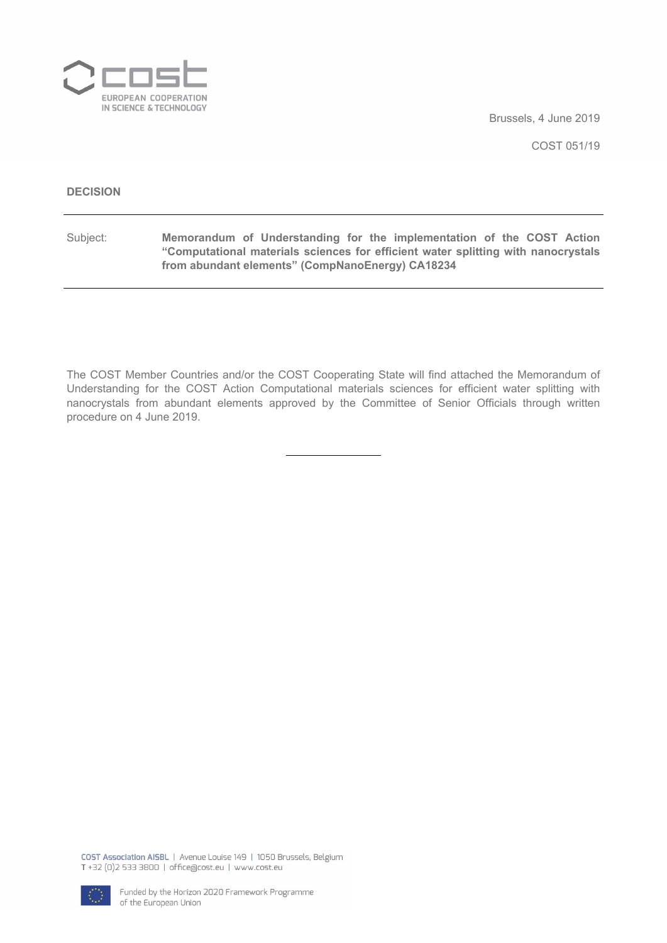

Brussels, 4 June 2019

COST 051/19

#### **DECISION**

Subject: **Memorandum of Understanding for the implementation of the COST Action "Computational materials sciences for efficient water splitting with nanocrystals from abundant elements" (CompNanoEnergy) CA18234**

The COST Member Countries and/or the COST Cooperating State will find attached the Memorandum of Understanding for the COST Action Computational materials sciences for efficient water splitting with nanocrystals from abundant elements approved by the Committee of Senior Officials through written procedure on 4 June 2019.

COST Association AISBL | Avenue Louise 149 | 1050 Brussels, Belgium T+32 (0)2 533 3800 | office@cost.eu | www.cost.eu

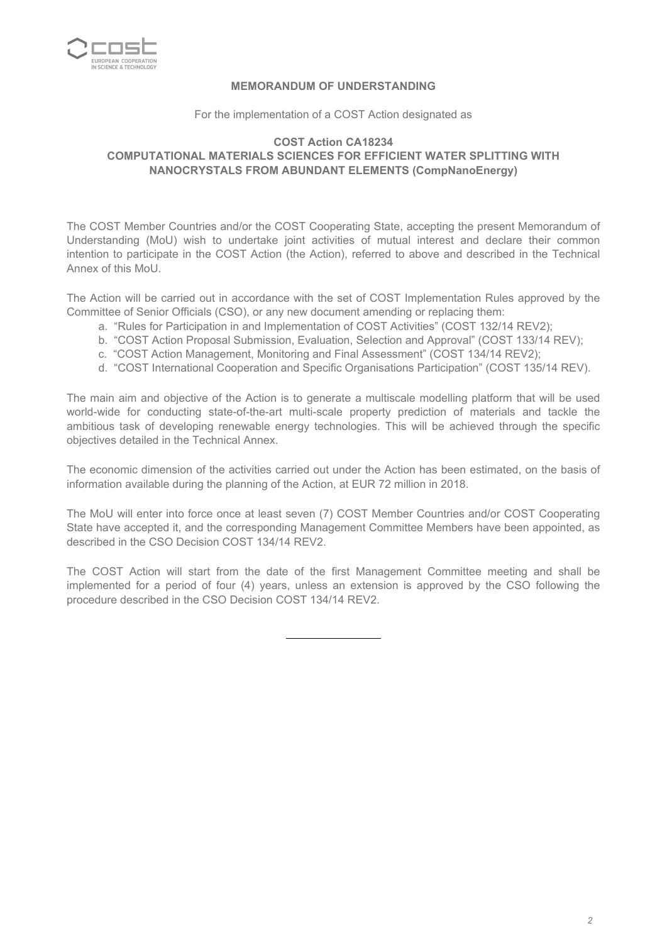

# **MEMORANDUM OF UNDERSTANDING**

For the implementation of a COST Action designated as

#### **COST Action CA18234 COMPUTATIONAL MATERIALS SCIENCES FOR EFFICIENT WATER SPLITTING WITH NANOCRYSTALS FROM ABUNDANT ELEMENTS (CompNanoEnergy)**

The COST Member Countries and/or the COST Cooperating State, accepting the present Memorandum of Understanding (MoU) wish to undertake joint activities of mutual interest and declare their common intention to participate in the COST Action (the Action), referred to above and described in the Technical Annex of this MoU.

The Action will be carried out in accordance with the set of COST Implementation Rules approved by the Committee of Senior Officials (CSO), or any new document amending or replacing them:

- a. "Rules for Participation in and Implementation of COST Activities" (COST 132/14 REV2);
- b. "COST Action Proposal Submission, Evaluation, Selection and Approval" (COST 133/14 REV);
- c. "COST Action Management, Monitoring and Final Assessment" (COST 134/14 REV2);
- d. "COST International Cooperation and Specific Organisations Participation" (COST 135/14 REV).

The main aim and objective of the Action is to generate a multiscale modelling platform that will be used world-wide for conducting state-of-the-art multi-scale property prediction of materials and tackle the ambitious task of developing renewable energy technologies. This will be achieved through the specific objectives detailed in the Technical Annex.

The economic dimension of the activities carried out under the Action has been estimated, on the basis of information available during the planning of the Action, at EUR 72 million in 2018.

The MoU will enter into force once at least seven (7) COST Member Countries and/or COST Cooperating State have accepted it, and the corresponding Management Committee Members have been appointed, as described in the CSO Decision COST 134/14 REV2.

The COST Action will start from the date of the first Management Committee meeting and shall be implemented for a period of four (4) years, unless an extension is approved by the CSO following the procedure described in the CSO Decision COST 134/14 REV2.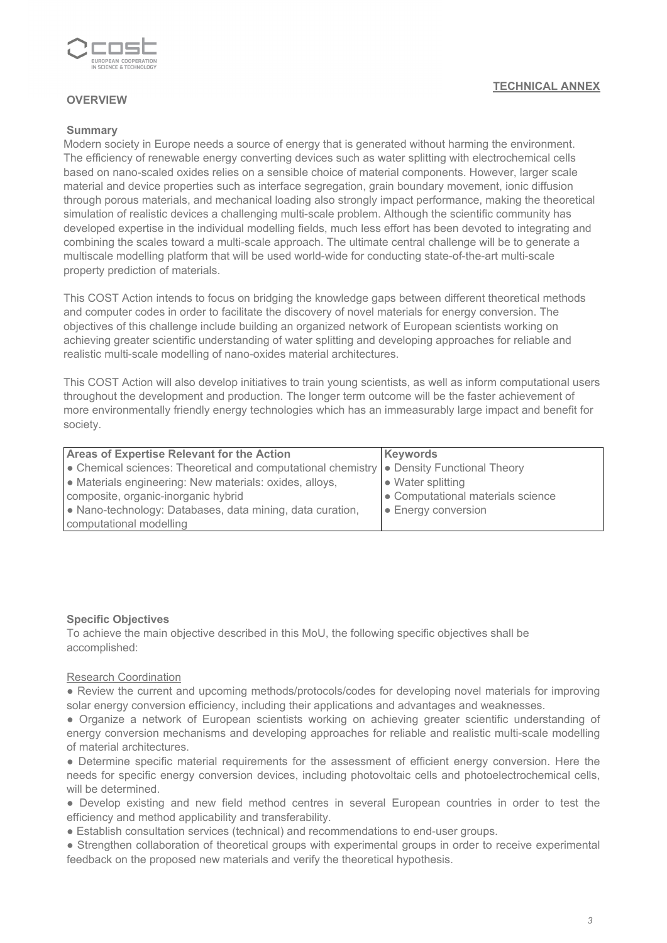

# **OVERVIEW**

#### **Summary**

Modern society in Europe needs a source of energy that is generated without harming the environment. The efficiency of renewable energy converting devices such as water splitting with electrochemical cells based on nano-scaled oxides relies on a sensible choice of material components. However, larger scale material and device properties such as interface segregation, grain boundary movement, ionic diffusion through porous materials, and mechanical loading also strongly impact performance, making the theoretical simulation of realistic devices a challenging multi-scale problem. Although the scientific community has developed expertise in the individual modelling fields, much less effort has been devoted to integrating and combining the scales toward a multi-scale approach. The ultimate central challenge will be to generate a multiscale modelling platform that will be used world-wide for conducting state-of-the-art multi-scale property prediction of materials.

This COST Action intends to focus on bridging the knowledge gaps between different theoretical methods and computer codes in order to facilitate the discovery of novel materials for energy conversion. The objectives of this challenge include building an organized network of European scientists working on achieving greater scientific understanding of water splitting and developing approaches for reliable and realistic multi-scale modelling of nano-oxides material architectures.

This COST Action will also develop initiatives to train young scientists, as well as inform computational users throughout the development and production. The longer term outcome will be the faster achievement of more environmentally friendly energy technologies which has an immeasurably large impact and benefit for society.

| <b>Areas of Expertise Relevant for the Action</b>                                                        | Keywords                          |  |  |  |  |
|----------------------------------------------------------------------------------------------------------|-----------------------------------|--|--|--|--|
| $\bullet$ Chemical sciences: Theoretical and computational chemistry $\bullet$ Density Functional Theory |                                   |  |  |  |  |
| • Materials engineering: New materials: oxides, alloys,                                                  | $\bullet$ Water splitting         |  |  |  |  |
| composite, organic-inorganic hybrid                                                                      | • Computational materials science |  |  |  |  |
| • Nano-technology: Databases, data mining, data curation,                                                | $\bullet$ Energy conversion       |  |  |  |  |
| computational modelling                                                                                  |                                   |  |  |  |  |

#### **Specific Objectives**

To achieve the main objective described in this MoU, the following specific objectives shall be accomplished:

#### Research Coordination

● Review the current and upcoming methods/protocols/codes for developing novel materials for improving solar energy conversion efficiency, including their applications and advantages and weaknesses.

● Organize a network of European scientists working on achieving greater scientific understanding of energy conversion mechanisms and developing approaches for reliable and realistic multi-scale modelling of material architectures.

● Determine specific material requirements for the assessment of efficient energy conversion. Here the needs for specific energy conversion devices, including photovoltaic cells and photoelectrochemical cells, will be determined.

● Develop existing and new field method centres in several European countries in order to test the efficiency and method applicability and transferability.

● Establish consultation services (technical) and recommendations to end-user groups.

• Strengthen collaboration of theoretical groups with experimental groups in order to receive experimental feedback on the proposed new materials and verify the theoretical hypothesis.

# **TECHNICAL ANNEX**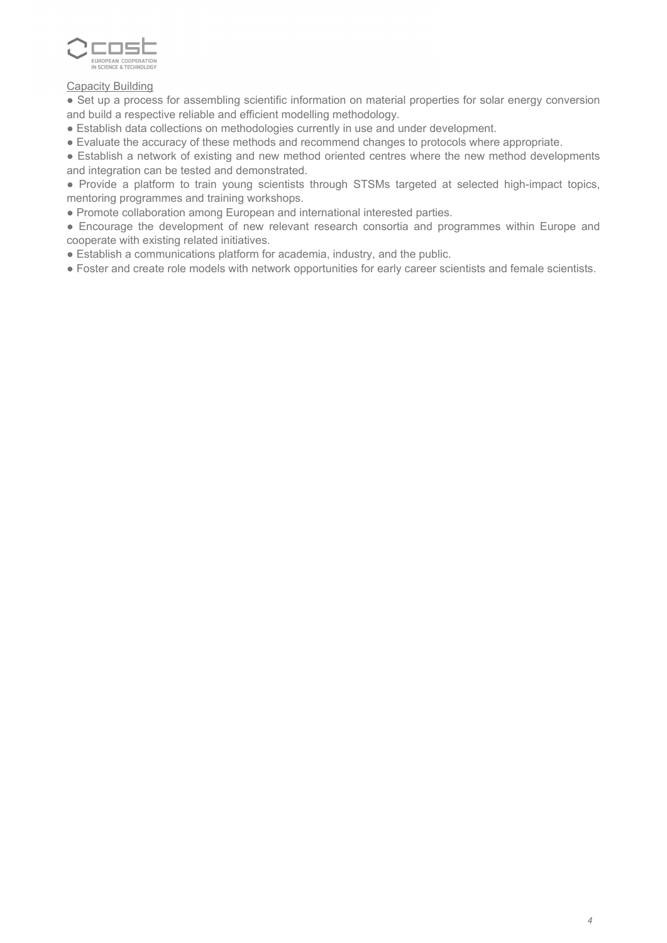

# Capacity Building

● Set up a process for assembling scientific information on material properties for solar energy conversion and build a respective reliable and efficient modelling methodology.

- Establish data collections on methodologies currently in use and under development.
- Evaluate the accuracy of these methods and recommend changes to protocols where appropriate.

● Establish a network of existing and new method oriented centres where the new method developments and integration can be tested and demonstrated.

● Provide a platform to train young scientists through STSMs targeted at selected high-impact topics, mentoring programmes and training workshops.

● Promote collaboration among European and international interested parties.

● Encourage the development of new relevant research consortia and programmes within Europe and cooperate with existing related initiatives.

• Establish a communications platform for academia, industry, and the public.

● Foster and create role models with network opportunities for early career scientists and female scientists.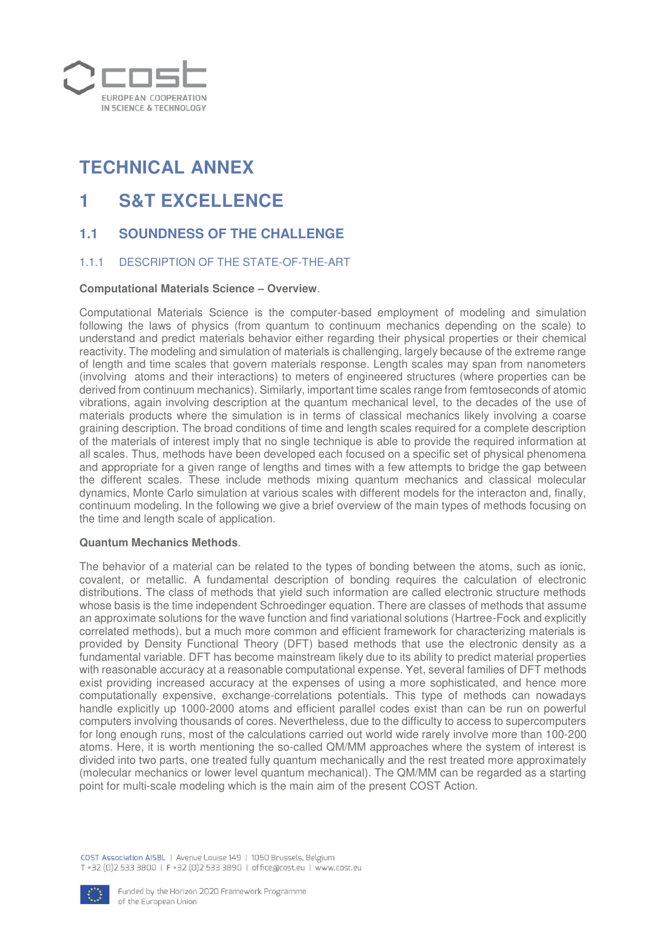

# **TECHNICAL ANNEX**

# **1 S&T EXCELLENCE**

# **1.1 SOUNDNESS OF THE CHALLENGE**

# 1.1.1 DESCRIPTION OF THE STATE-OF-THE-ART

#### **Computational Materials Science – Overview**.

Computational Materials Science is the computer-based employment of modeling and simulation following the laws of physics (from quantum to continuum mechanics depending on the scale) to understand and predict materials behavior either regarding their physical properties or their chemical reactivity. The modeling and simulation of materials is challenging, largely because of the extreme range of length and time scales that govern materials response. Length scales may span from nanometers (involving atoms and their interactions) to meters of engineered structures (where properties can be derived from continuum mechanics). Similarly, important time scales range from femtoseconds of atomic vibrations, again involving description at the quantum mechanical level, to the decades of the use of materials products where the simulation is in terms of classical mechanics likely involving a coarse graining description. The broad conditions of time and length scales required for a complete description of the materials of interest imply that no single technique is able to provide the required information at all scales. Thus, methods have been developed each focused on a specific set of physical phenomena and appropriate for a given range of lengths and times with a few attempts to bridge the gap between the different scales. These include methods mixing quantum mechanics and classical molecular dynamics, Monte Carlo simulation at various scales with different models for the interacton and, finally, continuum modeling. In the following we give a brief overview of the main types of methods focusing on the time and length scale of application.

#### **Quantum Mechanics Methods**.

The behavior of a material can be related to the types of bonding between the atoms, such as ionic, covalent, or metallic. A fundamental description of bonding requires the calculation of electronic distributions. The class of methods that yield such information are called electronic structure methods whose basis is the time independent Schroedinger equation. There are classes of methods that assume an approximate solutions for the wave function and find variational solutions (Hartree-Fock and explicitly correlated methods), but a much more common and efficient framework for characterizing materials is provided by Density Functional Theory (DFT) based methods that use the electronic density as a fundamental variable. DFT has become mainstream likely due to its ability to predict material properties with reasonable accuracy at a reasonable computational expense. Yet, several families of DFT methods exist providing increased accuracy at the expenses of using a more sophisticated, and hence more computationally expensive, exchange-correlations potentials. This type of methods can nowadays handle explicitly up 1000-2000 atoms and efficient parallel codes exist than can be run on powerful computers involving thousands of cores. Nevertheless, due to the difficulty to access to supercomputers for long enough runs, most of the calculations carried out world wide rarely involve more than 100-200 atoms. Here, it is worth mentioning the so-called QM/MM approaches where the system of interest is divided into two parts, one treated fully quantum mechanically and the rest treated more approximately (molecular mechanics or lower level quantum mechanical). The QM/MM can be regarded as a starting point for multi-scale modeling which is the main aim of the present COST Action.

COST Association AISBL | Avenue Louise 149 | 1050 Brussels, Belgium T+32 (0)2 533 3800 | F+32 (0)2 533 3890 | office@cost.eu | www.cost.eu

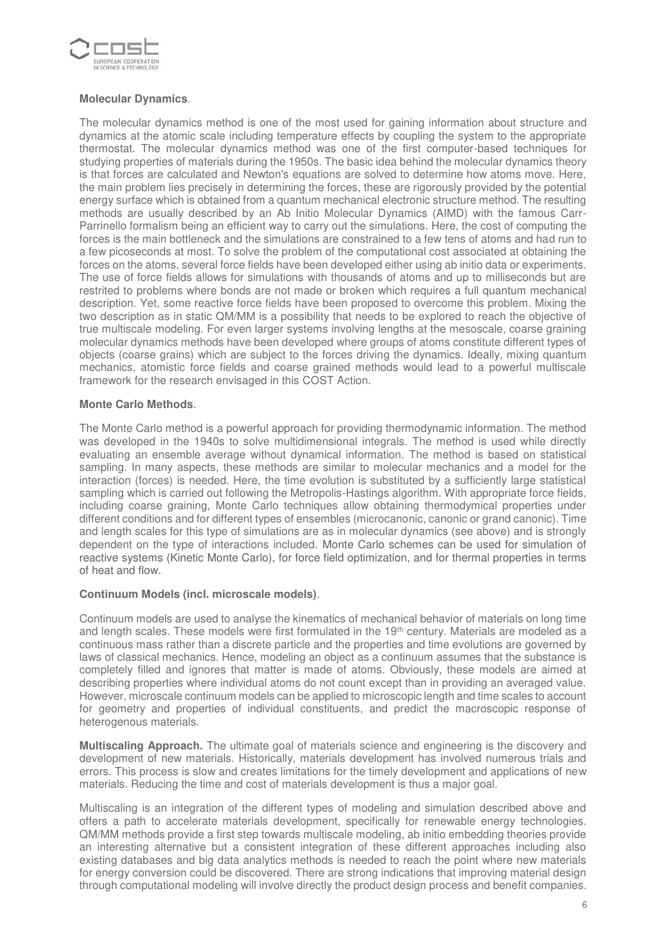

# **Molecular Dynamics**.

The molecular dynamics method is one of the most used for gaining information about structure and dynamics at the atomic scale including temperature effects by coupling the system to the appropriate thermostat. The molecular dynamics method was one of the first computer-based techniques for studying properties of materials during the 1950s. The basic idea behind the molecular dynamics theory is that forces are calculated and Newton's equations are solved to determine how atoms move. Here, the main problem lies precisely in determining the forces, these are rigorously provided by the potential energy surface which is obtained from a quantum mechanical electronic structure method. The resulting methods are usually described by an Ab Initio Molecular Dynamics (AIMD) with the famous Carr-Parrinello formalism being an efficient way to carry out the simulations. Here, the cost of computing the forces is the main bottleneck and the simulations are constrained to a few tens of atoms and had run to a few picoseconds at most. To solve the problem of the computational cost associated at obtaining the forces on the atoms, several force fields have been developed either using ab initio data or experiments. The use of force fields allows for simulations with thousands of atoms and up to milliseconds but are restrited to problems where bonds are not made or broken which requires a full quantum mechanical description. Yet, some reactive force fields have been proposed to overcome this problem. Mixing the two description as in static QM/MM is a possibility that needs to be explored to reach the objective of true multiscale modeling. For even larger systems involving lengths at the mesoscale, coarse graining molecular dynamics methods have been developed where groups of atoms constitute different types of objects (coarse grains) which are subject to the forces driving the dynamics. Ideally, mixing quantum mechanics, atomistic force fields and coarse grained methods would lead to a powerful multiscale framework for the research envisaged in this COST Action.

## **Monte Carlo Methods**.

The Monte Carlo method is a powerful approach for providing thermodynamic information. The method was developed in the 1940s to solve multidimensional integrals. The method is used while directly evaluating an ensemble average without dynamical information. The method is based on statistical sampling. In many aspects, these methods are similar to molecular mechanics and a model for the interaction (forces) is needed. Here, the time evolution is substituted by a sufficiently large statistical sampling which is carried out following the Metropolis-Hastings algorithm. With appropriate force fields, including coarse graining, Monte Carlo techniques allow obtaining thermodymical properties under different conditions and for different types of ensembles (microcanonic, canonic or grand canonic). Time and length scales for this type of simulations are as in molecular dynamics (see above) and is strongly dependent on the type of interactions included. Monte Carlo schemes can be used for simulation of reactive systems (Kinetic Monte Carlo), for force field optimization, and for thermal properties in terms of heat and flow.

## **Continuum Models (incl. microscale models)**.

Continuum models are used to analyse the kinematics of mechanical behavior of materials on long time and length scales. These models were first formulated in the 19<sup>th</sup> century. Materials are modeled as a continuous mass rather than a discrete particle and the properties and time evolutions are governed by laws of classical mechanics. Hence, modeling an object as a continuum assumes that the substance is completely filled and ignores that matter is made of atoms. Obviously, these models are aimed at describing properties where individual atoms do not count except than in providing an averaged value. However, microscale continuum models can be applied to microscopic length and time scales to account for geometry and properties of individual constituents, and predict the macroscopic response of heterogenous materials.

**Multiscaling Approach.** The ultimate goal of materials science and engineering is the discovery and development of new materials. Historically, materials development has involved numerous trials and errors. This process is slow and creates limitations for the timely development and applications of new materials. Reducing the time and cost of materials development is thus a major goal.

Multiscaling is an integration of the different types of modeling and simulation described above and offers a path to accelerate materials development, specifically for renewable energy technologies. QM/MM methods provide a first step towards multiscale modeling, ab initio embedding theories provide an interesting alternative but a consistent integration of these different approaches including also existing databases and big data analytics methods is needed to reach the point where new materials for energy conversion could be discovered. There are strong indications that improving material design through computational modeling will involve directly the product design process and benefit companies.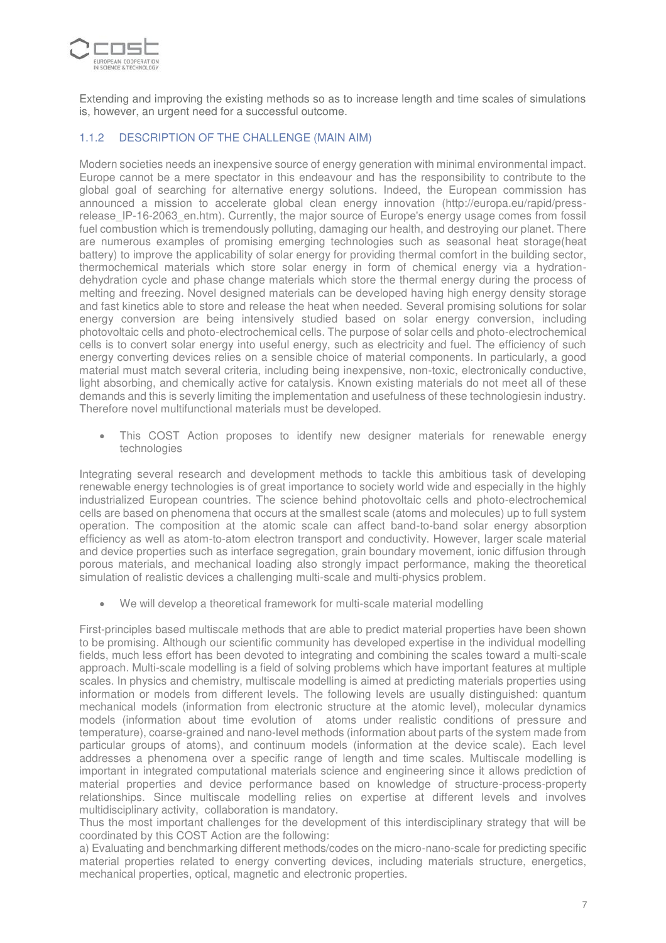

Extending and improving the existing methods so as to increase length and time scales of simulations is, however, an urgent need for a successful outcome.

# 1.1.2 DESCRIPTION OF THE CHALLENGE (MAIN AIM)

Modern societies needs an inexpensive source of energy generation with minimal environmental impact. Europe cannot be a mere spectator in this endeavour and has the responsibility to contribute to the global goal of searching for alternative energy solutions. Indeed, the European commission has announced a mission to accelerate global clean energy innovation (http://europa.eu/rapid/pressrelease IP-16-2063 en.htm). Currently, the major source of Europe's energy usage comes from fossil fuel combustion which is tremendously polluting, damaging our health, and destroying our planet. There are numerous examples of promising emerging technologies such as seasonal heat storage(heat battery) to improve the applicability of solar energy for providing thermal comfort in the building sector, thermochemical materials which store solar energy in form of chemical energy via a hydrationdehydration cycle and phase change materials which store the thermal energy during the process of melting and freezing. Novel designed materials can be developed having high energy density storage and fast kinetics able to store and release the heat when needed. Several promising solutions for solar energy conversion are being intensively studied based on solar energy conversion, including photovoltaic cells and photo-electrochemical cells. The purpose of solar cells and photo-electrochemical cells is to convert solar energy into useful energy, such as electricity and fuel. The efficiency of such energy converting devices relies on a sensible choice of material components. In particularly, a good material must match several criteria, including being inexpensive, non-toxic, electronically conductive, light absorbing, and chemically active for catalysis. Known existing materials do not meet all of these demands and this is severly limiting the implementation and usefulness of these technologiesin industry. Therefore novel multifunctional materials must be developed.

• This COST Action proposes to identify new designer materials for renewable energy technologies

Integrating several research and development methods to tackle this ambitious task of developing renewable energy technologies is of great importance to society world wide and especially in the highly industrialized European countries. The science behind photovoltaic cells and photo-electrochemical cells are based on phenomena that occurs at the smallest scale (atoms and molecules) up to full system operation. The composition at the atomic scale can affect band-to-band solar energy absorption efficiency as well as atom-to-atom electron transport and conductivity. However, larger scale material and device properties such as interface segregation, grain boundary movement, ionic diffusion through porous materials, and mechanical loading also strongly impact performance, making the theoretical simulation of realistic devices a challenging multi-scale and multi-physics problem.

• We will develop a theoretical framework for multi-scale material modelling

First-principles based multiscale methods that are able to predict material properties have been shown to be promising. Although our scientific community has developed expertise in the individual modelling fields, much less effort has been devoted to integrating and combining the scales toward a multi-scale approach. Multi-scale modelling is a field of solving problems which have important features at multiple scales. In physics and chemistry, multiscale modelling is aimed at predicting materials properties using information or models from different levels. The following levels are usually distinguished: quantum mechanical models (information from electronic structure at the atomic level), molecular dynamics models (information about time evolution of atoms under realistic conditions of pressure and temperature), coarse-grained and nano-level methods (information about parts of the system made from particular groups of atoms), and continuum models (information at the device scale). Each level addresses a phenomena over a specific range of length and time scales. Multiscale modelling is important in integrated computational materials science and engineering since it allows prediction of material properties and device performance based on knowledge of structure-process-property relationships. Since multiscale modelling relies on expertise at different levels and involves multidisciplinary activity, collaboration is mandatory.

Thus the most important challenges for the development of this interdisciplinary strategy that will be coordinated by this COST Action are the following:

a) Evaluating and benchmarking different methods/codes on the micro-nano-scale for predicting specific material properties related to energy converting devices, including materials structure, energetics, mechanical properties, optical, magnetic and electronic properties.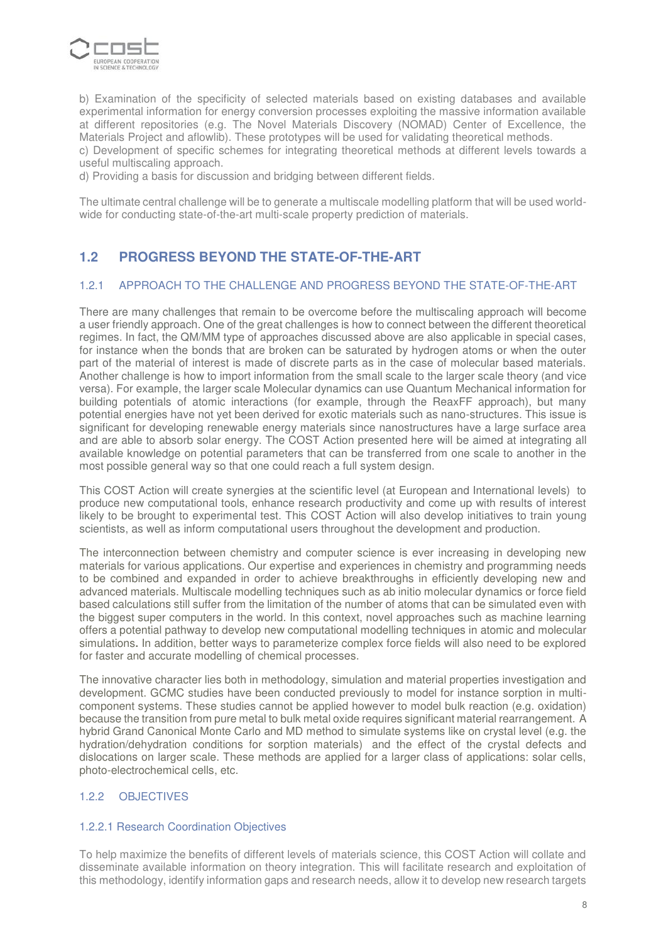

b) Examination of the specificity of selected materials based on existing databases and available experimental information for energy conversion processes exploiting the massive information available at different repositories (e.g. The Novel Materials Discovery (NOMAD) Center of Excellence, the Materials Project and aflowlib). These prototypes will be used for validating theoretical methods.

c) Development of specific schemes for integrating theoretical methods at different levels towards a useful multiscaling approach.

d) Providing a basis for discussion and bridging between different fields.

The ultimate central challenge will be to generate a multiscale modelling platform that will be used worldwide for conducting state-of-the-art multi-scale property prediction of materials.

# **1.2 PROGRESS BEYOND THE STATE-OF-THE-ART**

## 1.2.1 APPROACH TO THE CHALLENGE AND PROGRESS BEYOND THE STATE-OF-THE-ART

There are many challenges that remain to be overcome before the multiscaling approach will become a user friendly approach. One of the great challenges is how to connect between the different theoretical regimes. In fact, the QM/MM type of approaches discussed above are also applicable in special cases, for instance when the bonds that are broken can be saturated by hydrogen atoms or when the outer part of the material of interest is made of discrete parts as in the case of molecular based materials. Another challenge is how to import information from the small scale to the larger scale theory (and vice versa). For example, the larger scale Molecular dynamics can use Quantum Mechanical information for building potentials of atomic interactions (for example, through the ReaxFF approach), but many potential energies have not yet been derived for exotic materials such as nano-structures. This issue is significant for developing renewable energy materials since nanostructures have a large surface area and are able to absorb solar energy. The COST Action presented here will be aimed at integrating all available knowledge on potential parameters that can be transferred from one scale to another in the most possible general way so that one could reach a full system design.

This COST Action will create synergies at the scientific level (at European and International levels) to produce new computational tools, enhance research productivity and come up with results of interest likely to be brought to experimental test. This COST Action will also develop initiatives to train young scientists, as well as inform computational users throughout the development and production.

The interconnection between chemistry and computer science is ever increasing in developing new materials for various applications. Our expertise and experiences in chemistry and programming needs to be combined and expanded in order to achieve breakthroughs in efficiently developing new and advanced materials. Multiscale modelling techniques such as ab initio molecular dynamics or force field based calculations still suffer from the limitation of the number of atoms that can be simulated even with the biggest super computers in the world. In this context, novel approaches such as machine learning offers a potential pathway to develop new computational modelling techniques in atomic and molecular simulations**.** In addition, better ways to parameterize complex force fields will also need to be explored for faster and accurate modelling of chemical processes.

The innovative character lies both in methodology, simulation and material properties investigation and development. GCMC studies have been conducted previously to model for instance sorption in multicomponent systems. These studies cannot be applied however to model bulk reaction (e.g. oxidation) because the transition from pure metal to bulk metal oxide requires significant material rearrangement. A hybrid Grand Canonical Monte Carlo and MD method to simulate systems like on crystal level (e.g. the hydration/dehydration conditions for sorption materials) and the effect of the crystal defects and dislocations on larger scale. These methods are applied for a larger class of applications: solar cells, photo-electrochemical cells, etc.

## 1.2.2 OBJECTIVES

## 1.2.2.1 Research Coordination Objectives

To help maximize the benefits of different levels of materials science, this COST Action will collate and disseminate available information on theory integration. This will facilitate research and exploitation of this methodology, identify information gaps and research needs, allow it to develop new research targets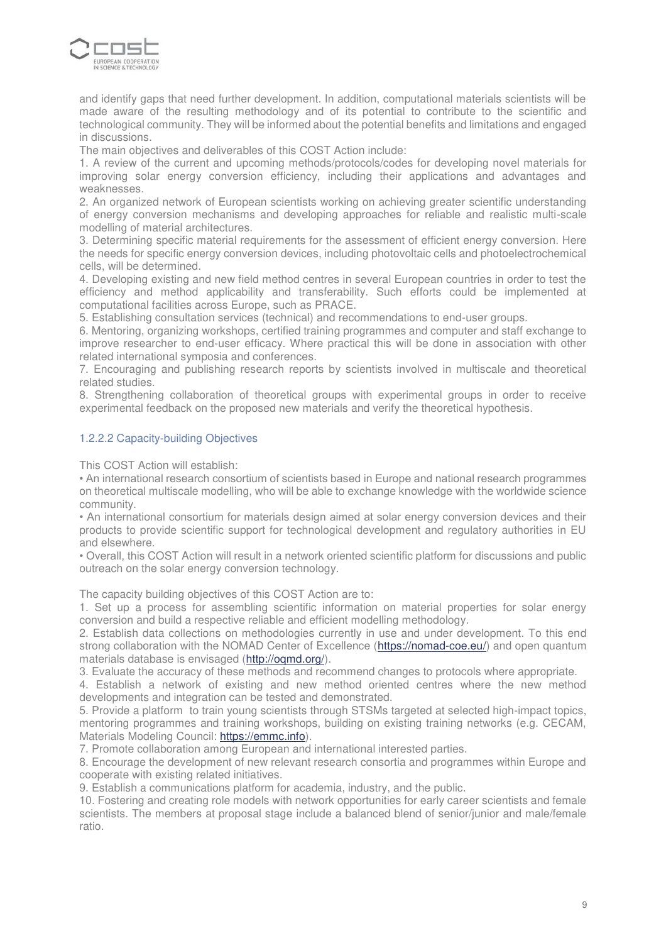

and identify gaps that need further development. In addition, computational materials scientists will be made aware of the resulting methodology and of its potential to contribute to the scientific and technological community. They will be informed about the potential benefits and limitations and engaged in discussions.

The main objectives and deliverables of this COST Action include:

1. A review of the current and upcoming methods/protocols/codes for developing novel materials for improving solar energy conversion efficiency, including their applications and advantages and weaknesses.

2. An organized network of European scientists working on achieving greater scientific understanding of energy conversion mechanisms and developing approaches for reliable and realistic multi-scale modelling of material architectures.

3. Determining specific material requirements for the assessment of efficient energy conversion. Here the needs for specific energy conversion devices, including photovoltaic cells and photoelectrochemical cells, will be determined.

4. Developing existing and new field method centres in several European countries in order to test the efficiency and method applicability and transferability. Such efforts could be implemented at computational facilities across Europe, such as PRACE.

5. Establishing consultation services (technical) and recommendations to end-user groups.

6. Mentoring, organizing workshops, certified training programmes and computer and staff exchange to improve researcher to end-user efficacy. Where practical this will be done in association with other related international symposia and conferences.

7. Encouraging and publishing research reports by scientists involved in multiscale and theoretical related studies.

8. Strengthening collaboration of theoretical groups with experimental groups in order to receive experimental feedback on the proposed new materials and verify the theoretical hypothesis.

## 1.2.2.2 Capacity-building Objectives

This COST Action will establish:

• An international research consortium of scientists based in Europe and national research programmes on theoretical multiscale modelling, who will be able to exchange knowledge with the worldwide science community.

• An international consortium for materials design aimed at solar energy conversion devices and their products to provide scientific support for technological development and regulatory authorities in EU and elsewhere.

• Overall, this COST Action will result in a network oriented scientific platform for discussions and public outreach on the solar energy conversion technology.

The capacity building objectives of this COST Action are to:

1. Set up a process for assembling scientific information on material properties for solar energy conversion and build a respective reliable and efficient modelling methodology.

2. Establish data collections on methodologies currently in use and under development. To this end strong collaboration with the NOMAD Center of Excellence [\(https://nomad-coe.eu/\)](https://nomad-coe.eu/) and open quantum materials database is envisaged [\(http://oqmd.org/\)](http://oqmd.org/).

3. Evaluate the accuracy of these methods and recommend changes to protocols where appropriate.

4. Establish a network of existing and new method oriented centres where the new method developments and integration can be tested and demonstrated.

5. Provide a platform to train young scientists through STSMs targeted at selected high-impact topics, mentoring programmes and training workshops, building on existing training networks (e.g. CECAM, Materials Modeling Council: [https://emmc.info\)](https://emmc.info/).

7. Promote collaboration among European and international interested parties.

8. Encourage the development of new relevant research consortia and programmes within Europe and cooperate with existing related initiatives.

9. Establish a communications platform for academia, industry, and the public.

10. Fostering and creating role models with network opportunities for early career scientists and female scientists. The members at proposal stage include a balanced blend of senior/junior and male/female ratio.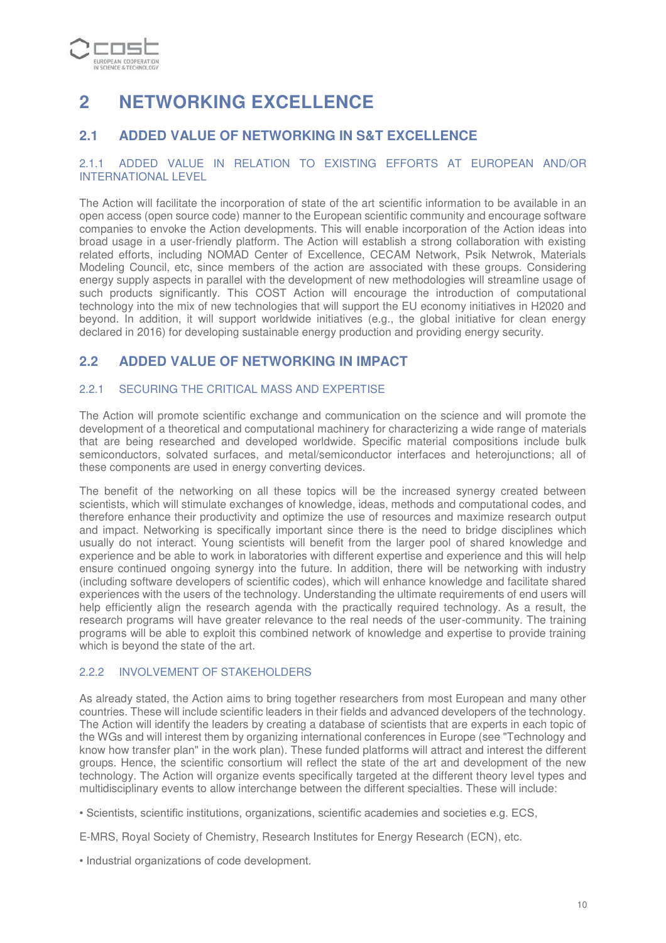

# **2 NETWORKING EXCELLENCE**

# **2.1 ADDED VALUE OF NETWORKING IN S&T EXCELLENCE**

## 2.1.1 ADDED VALUE IN RELATION TO EXISTING EFFORTS AT EUROPEAN AND/OR INTERNATIONAL LEVEL

The Action will facilitate the incorporation of state of the art scientific information to be available in an open access (open source code) manner to the European scientific community and encourage software companies to envoke the Action developments. This will enable incorporation of the Action ideas into broad usage in a user-friendly platform. The Action will establish a strong collaboration with existing related efforts, including NOMAD Center of Excellence, CECAM Network, Psik Netwrok, Materials Modeling Council, etc, since members of the action are associated with these groups. Considering energy supply aspects in parallel with the development of new methodologies will streamline usage of such products significantly. This COST Action will encourage the introduction of computational technology into the mix of new technologies that will support the EU economy initiatives in H2020 and beyond. In addition, it will support worldwide initiatives (e.g., the global initiative for clean energy declared in 2016) for developing sustainable energy production and providing energy security.

# **2.2 ADDED VALUE OF NETWORKING IN IMPACT**

# 2.2.1 SECURING THE CRITICAL MASS AND EXPERTISE

The Action will promote scientific exchange and communication on the science and will promote the development of a theoretical and computational machinery for characterizing a wide range of materials that are being researched and developed worldwide. Specific material compositions include bulk semiconductors, solvated surfaces, and metal/semiconductor interfaces and heterojunctions; all of these components are used in energy converting devices.

The benefit of the networking on all these topics will be the increased synergy created between scientists, which will stimulate exchanges of knowledge, ideas, methods and computational codes, and therefore enhance their productivity and optimize the use of resources and maximize research output and impact. Networking is specifically important since there is the need to bridge disciplines which usually do not interact. Young scientists will benefit from the larger pool of shared knowledge and experience and be able to work in laboratories with different expertise and experience and this will help ensure continued ongoing synergy into the future. In addition, there will be networking with industry (including software developers of scientific codes), which will enhance knowledge and facilitate shared experiences with the users of the technology. Understanding the ultimate requirements of end users will help efficiently align the research agenda with the practically required technology. As a result, the research programs will have greater relevance to the real needs of the user-community. The training programs will be able to exploit this combined network of knowledge and expertise to provide training which is beyond the state of the art.

# 2.2.2 INVOLVEMENT OF STAKEHOLDERS

As already stated, the Action aims to bring together researchers from most European and many other countries. These will include scientific leaders in their fields and advanced developers of the technology. The Action will identify the leaders by creating a database of scientists that are experts in each topic of the WGs and will interest them by organizing international conferences in Europe (see "Technology and know how transfer plan" in the work plan). These funded platforms will attract and interest the different groups. Hence, the scientific consortium will reflect the state of the art and development of the new technology. The Action will organize events specifically targeted at the different theory level types and multidisciplinary events to allow interchange between the different specialties. These will include:

• Scientists, scientific institutions, organizations, scientific academies and societies e.g. ECS,

E-MRS, Royal Society of Chemistry, Research Institutes for Energy Research (ECN), etc.

• Industrial organizations of code development.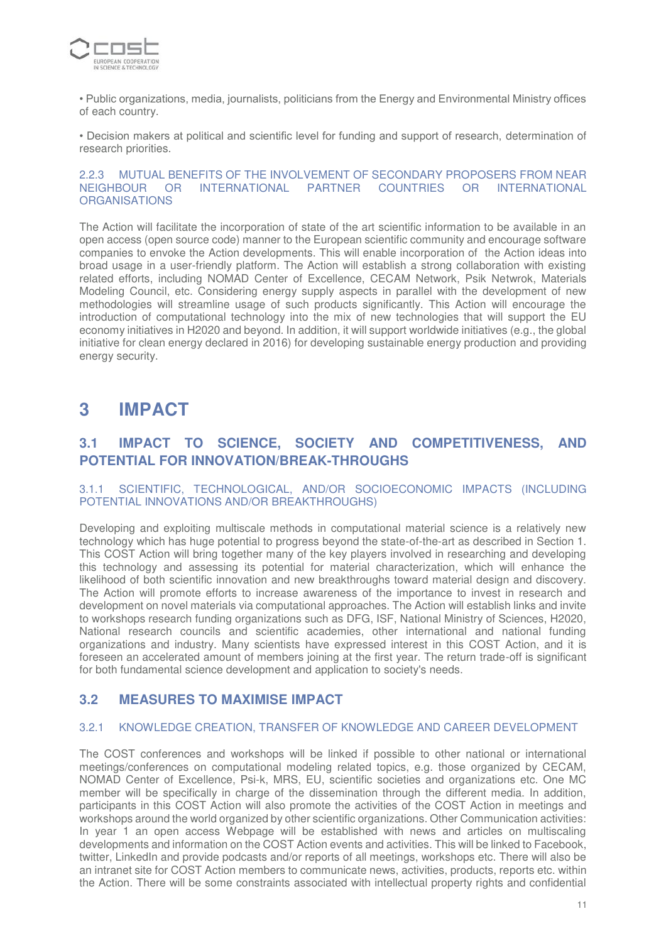

• Public organizations, media, journalists, politicians from the Energy and Environmental Ministry offices of each country.

• Decision makers at political and scientific level for funding and support of research, determination of research priorities.

#### 2.2.3 MUTUAL BENEFITS OF THE INVOLVEMENT OF SECONDARY PROPOSERS FROM NEAR<br>NEIGHBOUR OR INTERNATIONAL PARTNER COUNTRIES OR INTERNATIONAL NEIGHBOUR OR INTERNATIONAL PARTNER COUNTRIES **ORGANISATIONS**

The Action will facilitate the incorporation of state of the art scientific information to be available in an open access (open source code) manner to the European scientific community and encourage software companies to envoke the Action developments. This will enable incorporation of the Action ideas into broad usage in a user-friendly platform. The Action will establish a strong collaboration with existing related efforts, including NOMAD Center of Excellence, CECAM Network, Psik Netwrok, Materials Modeling Council, etc. Considering energy supply aspects in parallel with the development of new methodologies will streamline usage of such products significantly. This Action will encourage the introduction of computational technology into the mix of new technologies that will support the EU economy initiatives in H2020 and beyond. In addition, it will support worldwide initiatives (e.g., the global initiative for clean energy declared in 2016) for developing sustainable energy production and providing energy security.

# **3 IMPACT**

# **3.1 IMPACT TO SCIENCE, SOCIETY AND COMPETITIVENESS, AND POTENTIAL FOR INNOVATION/BREAK-THROUGHS**

## 3.1.1 SCIENTIFIC, TECHNOLOGICAL, AND/OR SOCIOECONOMIC IMPACTS (INCLUDING POTENTIAL INNOVATIONS AND/OR BREAKTHROUGHS)

Developing and exploiting multiscale methods in computational material science is a relatively new technology which has huge potential to progress beyond the state-of-the-art as described in Section 1. This COST Action will bring together many of the key players involved in researching and developing this technology and assessing its potential for material characterization, which will enhance the likelihood of both scientific innovation and new breakthroughs toward material design and discovery. The Action will promote efforts to increase awareness of the importance to invest in research and development on novel materials via computational approaches. The Action will establish links and invite to workshops research funding organizations such as DFG, ISF, National Ministry of Sciences, H2020, National research councils and scientific academies, other international and national funding organizations and industry. Many scientists have expressed interest in this COST Action, and it is foreseen an accelerated amount of members joining at the first year. The return trade-off is significant for both fundamental science development and application to society's needs.

# **3.2 MEASURES TO MAXIMISE IMPACT**

# 3.2.1 KNOWLEDGE CREATION, TRANSFER OF KNOWLEDGE AND CAREER DEVELOPMENT

The COST conferences and workshops will be linked if possible to other national or international meetings/conferences on computational modeling related topics, e.g. those organized by CECAM, NOMAD Center of Excellence, Psi-k, MRS, EU, scientific societies and organizations etc. One MC member will be specifically in charge of the dissemination through the different media. In addition, participants in this COST Action will also promote the activities of the COST Action in meetings and workshops around the world organized by other scientific organizations. Other Communication activities: In year 1 an open access Webpage will be established with news and articles on multiscaling developments and information on the COST Action events and activities. This will be linked to Facebook, twitter, LinkedIn and provide podcasts and/or reports of all meetings, workshops etc. There will also be an intranet site for COST Action members to communicate news, activities, products, reports etc. within the Action. There will be some constraints associated with intellectual property rights and confidential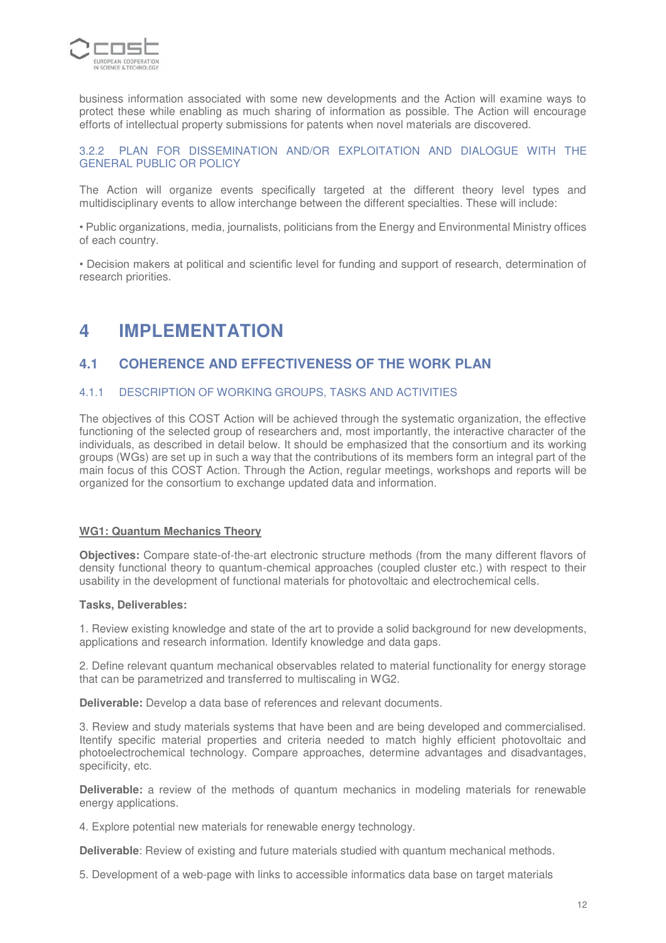

business information associated with some new developments and the Action will examine ways to protect these while enabling as much sharing of information as possible. The Action will encourage efforts of intellectual property submissions for patents when novel materials are discovered.

# 3.2.2 PLAN FOR DISSEMINATION AND/OR EXPLOITATION AND DIALOGUE WITH THE GENERAL PUBLIC OR POLICY

The Action will organize events specifically targeted at the different theory level types and multidisciplinary events to allow interchange between the different specialties. These will include:

• Public organizations, media, journalists, politicians from the Energy and Environmental Ministry offices of each country.

• Decision makers at political and scientific level for funding and support of research, determination of research priorities.

# **4 IMPLEMENTATION**

# **4.1 COHERENCE AND EFFECTIVENESS OF THE WORK PLAN**

#### 4.1.1 DESCRIPTION OF WORKING GROUPS, TASKS AND ACTIVITIES

The objectives of this COST Action will be achieved through the systematic organization, the effective functioning of the selected group of researchers and, most importantly, the interactive character of the individuals, as described in detail below. It should be emphasized that the consortium and its working groups (WGs) are set up in such a way that the contributions of its members form an integral part of the main focus of this COST Action. Through the Action, regular meetings, workshops and reports will be organized for the consortium to exchange updated data and information.

## **WG1: Quantum Mechanics Theory**

**Objectives:** Compare state-of-the-art electronic structure methods (from the many different flavors of density functional theory to quantum-chemical approaches (coupled cluster etc.) with respect to their usability in the development of functional materials for photovoltaic and electrochemical cells.

#### **Tasks, Deliverables:**

1. Review existing knowledge and state of the art to provide a solid background for new developments, applications and research information. Identify knowledge and data gaps.

2. Define relevant quantum mechanical observables related to material functionality for energy storage that can be parametrized and transferred to multiscaling in WG2.

**Deliverable:** Develop a data base of references and relevant documents.

3. Review and study materials systems that have been and are being developed and commercialised. Itentify specific material properties and criteria needed to match highly efficient photovoltaic and photoelectrochemical technology. Compare approaches, determine advantages and disadvantages, specificity, etc.

**Deliverable:** a review of the methods of quantum mechanics in modeling materials for renewable energy applications.

4. Explore potential new materials for renewable energy technology.

**Deliverable**: Review of existing and future materials studied with quantum mechanical methods.

5. Development of a web-page with links to accessible informatics data base on target materials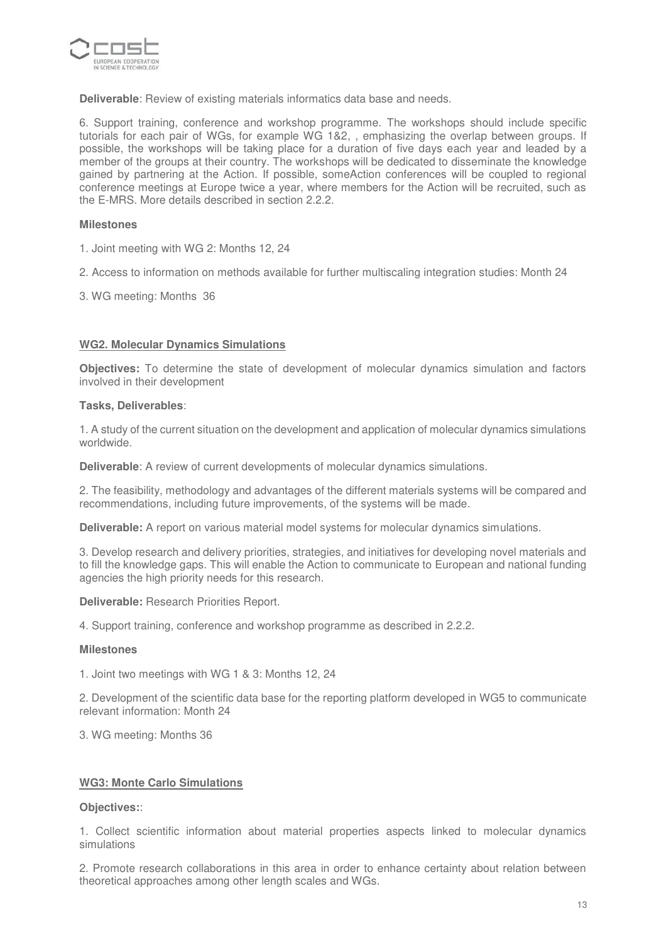

**Deliverable**: Review of existing materials informatics data base and needs.

6. Support training, conference and workshop programme. The workshops should include specific tutorials for each pair of WGs, for example WG 1&2, , emphasizing the overlap between groups. If possible, the workshops will be taking place for a duration of five days each year and leaded by a member of the groups at their country. The workshops will be dedicated to disseminate the knowledge gained by partnering at the Action. If possible, someAction conferences will be coupled to regional conference meetings at Europe twice a year, where members for the Action will be recruited, such as the E-MRS. More details described in section 2.2.2.

#### **Milestones**

- 1. Joint meeting with WG 2: Months 12, 24
- 2. Access to information on methods available for further multiscaling integration studies: Month 24
- 3. WG meeting: Months 36

#### **WG2. Molecular Dynamics Simulations**

**Objectives:** To determine the state of development of molecular dynamics simulation and factors involved in their development

#### **Tasks, Deliverables**:

1. A study of the current situation on the development and application of molecular dynamics simulations worldwide.

**Deliverable**: A review of current developments of molecular dynamics simulations.

2. The feasibility, methodology and advantages of the different materials systems will be compared and recommendations, including future improvements, of the systems will be made.

**Deliverable:** A report on various material model systems for molecular dynamics simulations.

3. Develop research and delivery priorities, strategies, and initiatives for developing novel materials and to fill the knowledge gaps. This will enable the Action to communicate to European and national funding agencies the high priority needs for this research.

**Deliverable:** Research Priorities Report.

4. Support training, conference and workshop programme as described in 2.2.2.

#### **Milestones**

1. Joint two meetings with WG 1 & 3: Months 12, 24

2. Development of the scientific data base for the reporting platform developed in WG5 to communicate relevant information: Month 24

3. WG meeting: Months 36

#### **WG3: Monte Carlo Simulations**

#### **Objectives:**:

1. Collect scientific information about material properties aspects linked to molecular dynamics simulations

2. Promote research collaborations in this area in order to enhance certainty about relation between theoretical approaches among other length scales and WGs.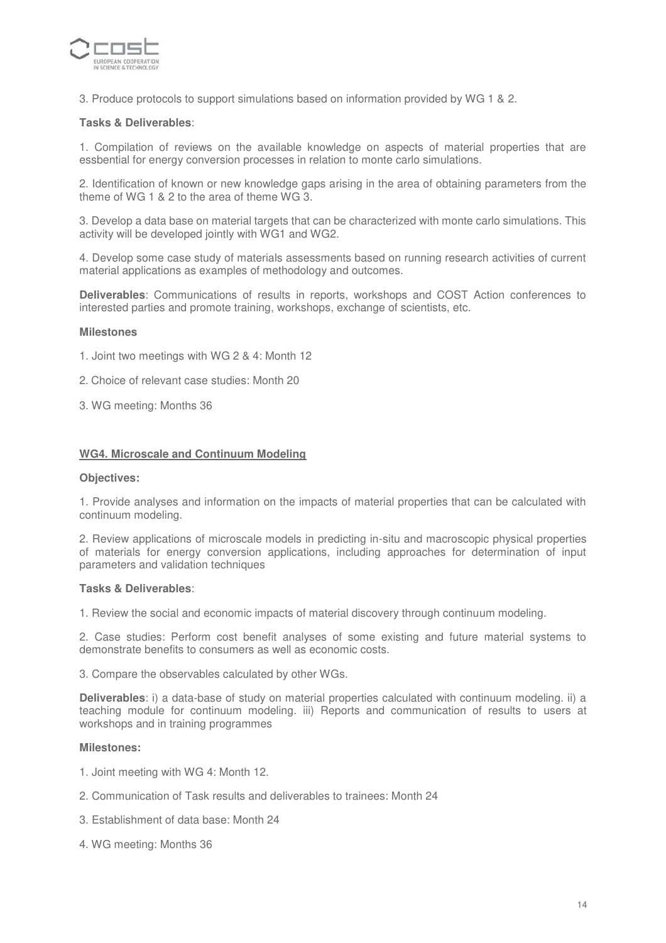

3. Produce protocols to support simulations based on information provided by WG 1 & 2.

#### **Tasks & Deliverables**:

1. Compilation of reviews on the available knowledge on aspects of material properties that are essbential for energy conversion processes in relation to monte carlo simulations.

2. Identification of known or new knowledge gaps arising in the area of obtaining parameters from the theme of WG 1 & 2 to the area of theme WG 3.

3. Develop a data base on material targets that can be characterized with monte carlo simulations. This activity will be developed jointly with WG1 and WG2.

4. Develop some case study of materials assessments based on running research activities of current material applications as examples of methodology and outcomes.

**Deliverables**: Communications of results in reports, workshops and COST Action conferences to interested parties and promote training, workshops, exchange of scientists, etc.

#### **Milestones**

- 1. Joint two meetings with WG 2 & 4: Month 12
- 2.Choice of relevant case studies: Month 20
- 3. WG meeting: Months 36

#### **WG4. Microscale and Continuum Modeling**

#### **Objectives:**

1. Provide analyses and information on the impacts of material properties that can be calculated with continuum modeling.

2. Review applications of microscale models in predicting in-situ and macroscopic physical properties of materials for energy conversion applications, including approaches for determination of input parameters and validation techniques

#### **Tasks & Deliverables**:

1. Review the social and economic impacts of material discovery through continuum modeling.

2. Case studies: Perform cost benefit analyses of some existing and future material systems to demonstrate benefits to consumers as well as economic costs.

3. Compare the observables calculated by other WGs.

**Deliverables**: i) a data-base of study on material properties calculated with continuum modeling. ii) a teaching module for continuum modeling. iii) Reports and communication of results to users at workshops and in training programmes

#### **Milestones:**

- 1. Joint meeting with WG 4: Month 12.
- 2. Communication of Task results and deliverables to trainees: Month 24
- 3. Establishment of data base: Month 24
- 4. WG meeting: Months 36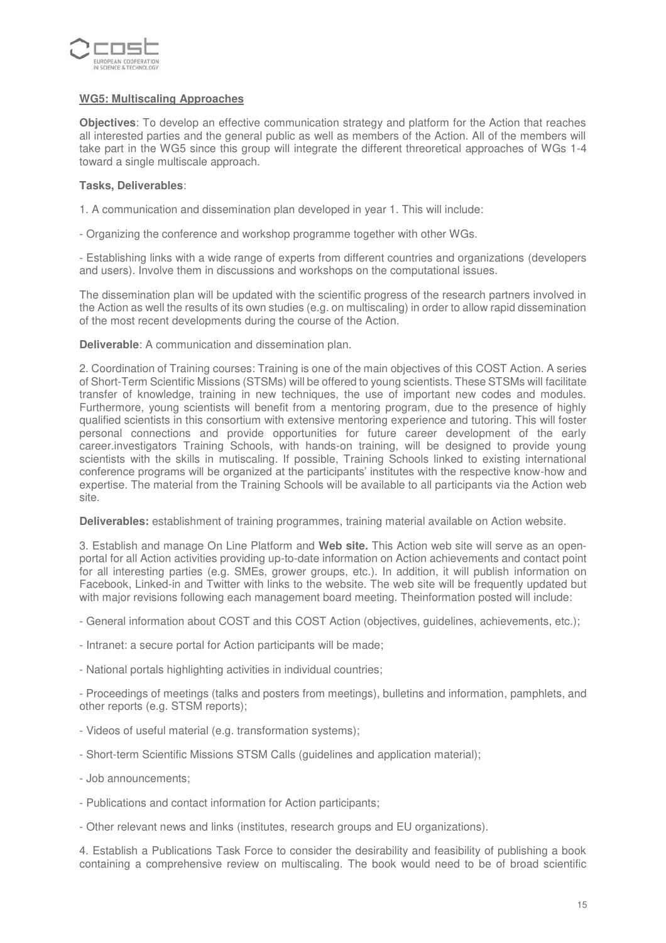

## **WG5: Multiscaling Approaches**

**Objectives**: To develop an effective communication strategy and platform for the Action that reaches all interested parties and the general public as well as members of the Action. All of the members will take part in the WG5 since this group will integrate the different threoretical approaches of WGs 1-4 toward a single multiscale approach.

## **Tasks, Deliverables**:

1. A communication and dissemination plan developed in year 1. This will include:

- Organizing the conference and workshop programme together with other WGs.

- Establishing links with a wide range of experts from different countries and organizations (developers and users). Involve them in discussions and workshops on the computational issues.

The dissemination plan will be updated with the scientific progress of the research partners involved in the Action as well the results of its own studies (e.g. on multiscaling) in order to allow rapid dissemination of the most recent developments during the course of the Action.

**Deliverable**: A communication and dissemination plan.

2. Coordination of Training courses: Training is one of the main objectives of this COST Action. A series of Short-Term Scientific Missions (STSMs) will be offered to young scientists. These STSMs will facilitate transfer of knowledge, training in new techniques, the use of important new codes and modules. Furthermore, young scientists will benefit from a mentoring program, due to the presence of highly qualified scientists in this consortium with extensive mentoring experience and tutoring. This will foster personal connections and provide opportunities for future career development of the early career.investigators Training Schools, with hands-on training, will be designed to provide young scientists with the skills in mutiscaling. If possible, Training Schools linked to existing international conference programs will be organized at the participants' institutes with the respective know-how and expertise. The material from the Training Schools will be available to all participants via the Action web site.

**Deliverables:** establishment of training programmes, training material available on Action website.

3. Establish and manage On Line Platform and **Web site.** This Action web site will serve as an openportal for all Action activities providing up-to-date information on Action achievements and contact point for all interesting parties (e.g. SMEs, grower groups, etc.). In addition, it will publish information on Facebook, Linked-in and Twitter with links to the website. The web site will be frequently updated but with major revisions following each management board meeting. Theinformation posted will include:

- General information about COST and this COST Action (objectives, guidelines, achievements, etc.);
- Intranet: a secure portal for Action participants will be made;
- National portals highlighting activities in individual countries;

- Proceedings of meetings (talks and posters from meetings), bulletins and information, pamphlets, and other reports (e.g. STSM reports);

- Videos of useful material (e.g. transformation systems);
- Short-term Scientific Missions STSM Calls (guidelines and application material);
- Job announcements;
- Publications and contact information for Action participants;
- Other relevant news and links (institutes, research groups and EU organizations).

4. Establish a Publications Task Force to consider the desirability and feasibility of publishing a book containing a comprehensive review on multiscaling. The book would need to be of broad scientific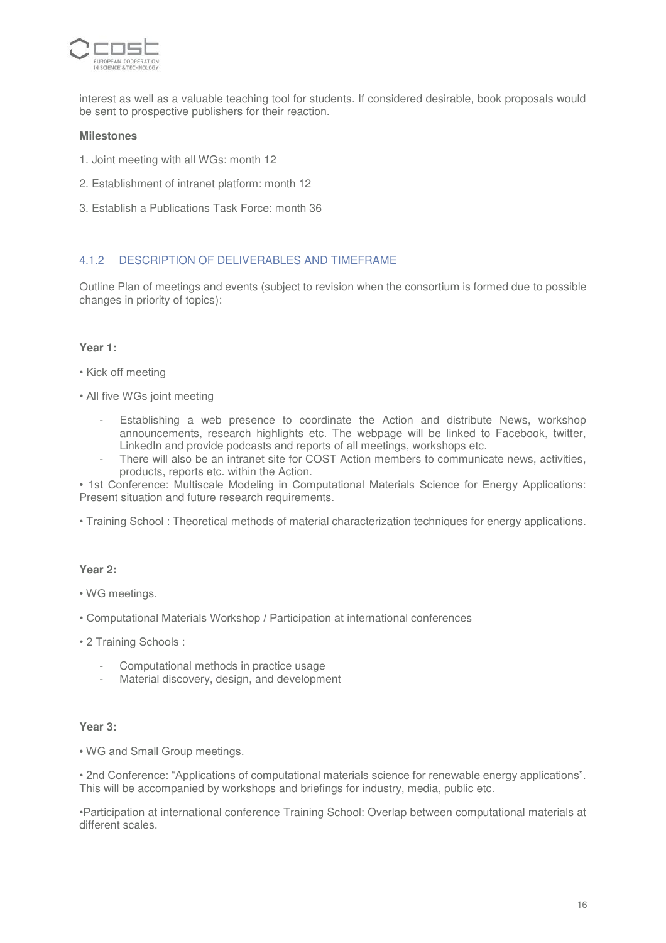

interest as well as a valuable teaching tool for students. If considered desirable, book proposals would be sent to prospective publishers for their reaction.

#### **Milestones**

- 1. Joint meeting with all WGs: month 12
- 2. Establishment of intranet platform: month 12
- 3. Establish a Publications Task Force: month 36

## 4.1.2 DESCRIPTION OF DELIVERABLES AND TIMEFRAME

Outline Plan of meetings and events (subject to revision when the consortium is formed due to possible changes in priority of topics):

#### **Year 1:**

- Kick off meeting
- All five WGs joint meeting
	- Establishing a web presence to coordinate the Action and distribute News, workshop announcements, research highlights etc. The webpage will be linked to Facebook, twitter, LinkedIn and provide podcasts and reports of all meetings, workshops etc.
	- There will also be an intranet site for COST Action members to communicate news, activities, products, reports etc. within the Action.

• 1st Conference: Multiscale Modeling in Computational Materials Science for Energy Applications: Present situation and future research requirements.

• Training School : Theoretical methods of material characterization techniques for energy applications.

#### **Year 2:**

- WG meetings.
- Computational Materials Workshop / Participation at international conferences
- 2 Training Schools :
	- Computational methods in practice usage
	- Material discovery, design, and development

#### **Year 3:**

• WG and Small Group meetings.

• 2nd Conference: "Applications of computational materials science for renewable energy applications". This will be accompanied by workshops and briefings for industry, media, public etc.

•Participation at international conference Training School: Overlap between computational materials at different scales.